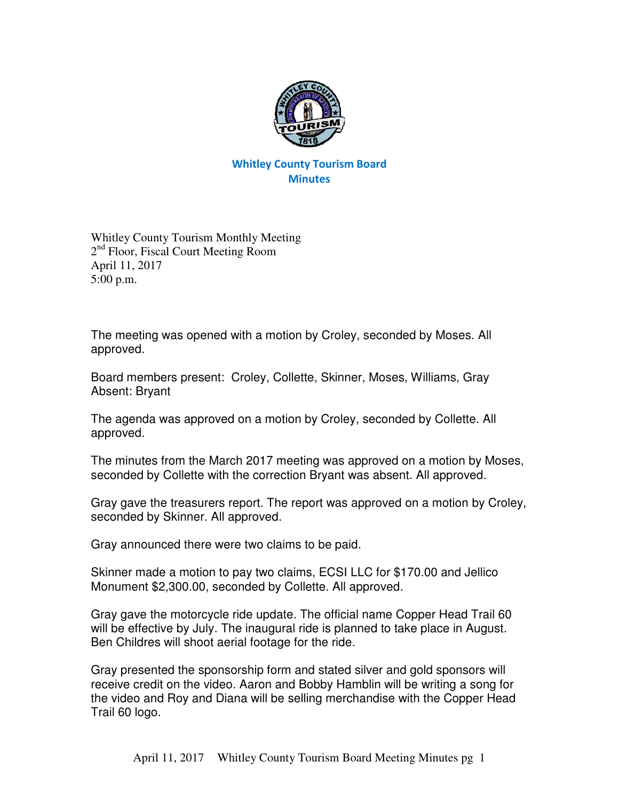

## Whitley County Tourism Board **Minutes**

Whitley County Tourism Monthly Meeting 2<sup>nd</sup> Floor, Fiscal Court Meeting Room April 11, 2017 5:00 p.m.

The meeting was opened with a motion by Croley, seconded by Moses. All approved.

Board members present: Croley, Collette, Skinner, Moses, Williams, Gray Absent: Bryant

The agenda was approved on a motion by Croley, seconded by Collette. All approved.

The minutes from the March 2017 meeting was approved on a motion by Moses, seconded by Collette with the correction Bryant was absent. All approved.

Gray gave the treasurers report. The report was approved on a motion by Croley, seconded by Skinner. All approved.

Gray announced there were two claims to be paid.

Skinner made a motion to pay two claims, ECSI LLC for \$170.00 and Jellico Monument \$2,300.00, seconded by Collette. All approved.

Gray gave the motorcycle ride update. The official name Copper Head Trail 60 will be effective by July. The inaugural ride is planned to take place in August. Ben Childres will shoot aerial footage for the ride.

Gray presented the sponsorship form and stated silver and gold sponsors will receive credit on the video. Aaron and Bobby Hamblin will be writing a song for the video and Roy and Diana will be selling merchandise with the Copper Head Trail 60 logo.